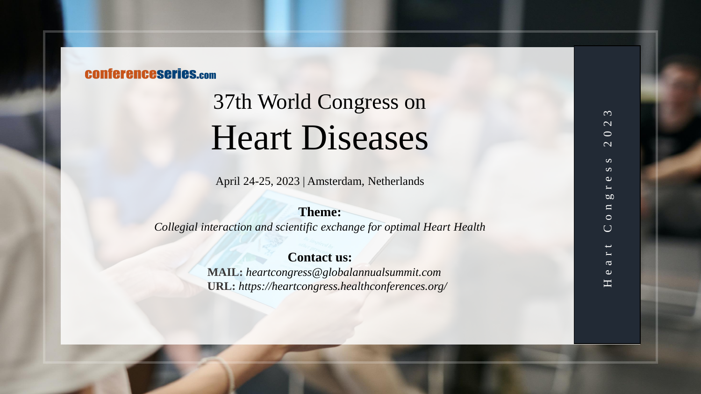## **CONferenceseries.com**

# 37th World Congress on Heart Diseases

April 24 -25, 2023 | Amsterdam, Netherlands

## **Theme:**

*Collegial interaction and scientific exchange for optimal Heart Health*

## **Contact us:**

**MAIL:** *heartcongress@globalannualsummit.com* **URL:** *https://heartcongress.healthconferences.org/*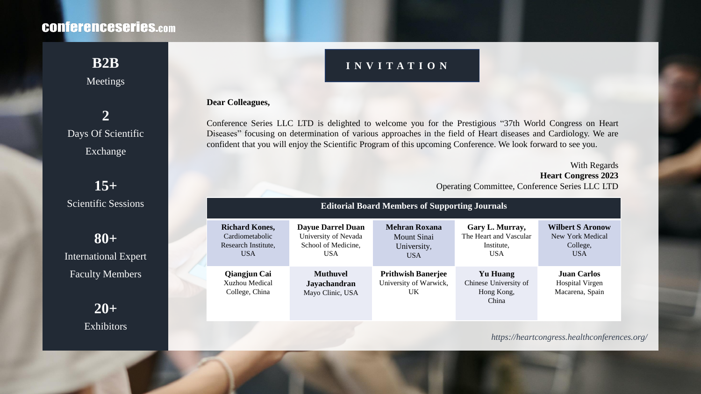## **CONferenceseries.com**

## Meetings

## **2** Days Of Scientific Exchange

**15+** Scientific Sessions

**80+** International Expert Faculty Members

> **20+** Exhibitors

## **B2B INVITATION**

#### **Dear Colleagues,**

Conference Series LLC LTD is delighted to welcome you for the Prestigious "37th World Congress on Heart Diseases" focusing on determination of various approaches in the field of Heart diseases and Cardiology. We are confident that you will enjoy the Scientific Program of this upcoming Conference. We look forward to see you.

> With Regards **Heart Congress 2023** Operating Committee, Conference Series LLC LTD

| <b>Editorial Board Members of Supporting Journals</b>                         |                                                                                       |                                                                  |                                                                       |                                                                       |
|-------------------------------------------------------------------------------|---------------------------------------------------------------------------------------|------------------------------------------------------------------|-----------------------------------------------------------------------|-----------------------------------------------------------------------|
| <b>Richard Kones,</b><br>Cardiometabolic<br>Research Institute,<br><b>USA</b> | <b>Dayue Darrel Duan</b><br>University of Nevada<br>School of Medicine,<br><b>USA</b> | <b>Mehran Roxana</b><br>Mount Sinai<br>University,<br><b>USA</b> | Gary L. Murray,<br>The Heart and Vascular<br>Institute,<br><b>USA</b> | <b>Wilbert S Aronow</b><br>New York Medical<br>College,<br><b>USA</b> |
| <b>Qiangjun Cai</b><br>Xuzhou Medical<br>College, China                       | <b>Muthuvel</b><br><b>Jayachandran</b><br>Mayo Clinic, USA                            | <b>Prithwish Banerjee</b><br>University of Warwick,<br>UK.       | <b>Yu Huang</b><br>Chinese University of<br>Hong Kong,<br>China       | <b>Juan Carlos</b><br><b>Hospital Virgen</b><br>Macarena, Spain       |

*https://heartcongress.healthconferences.org/*